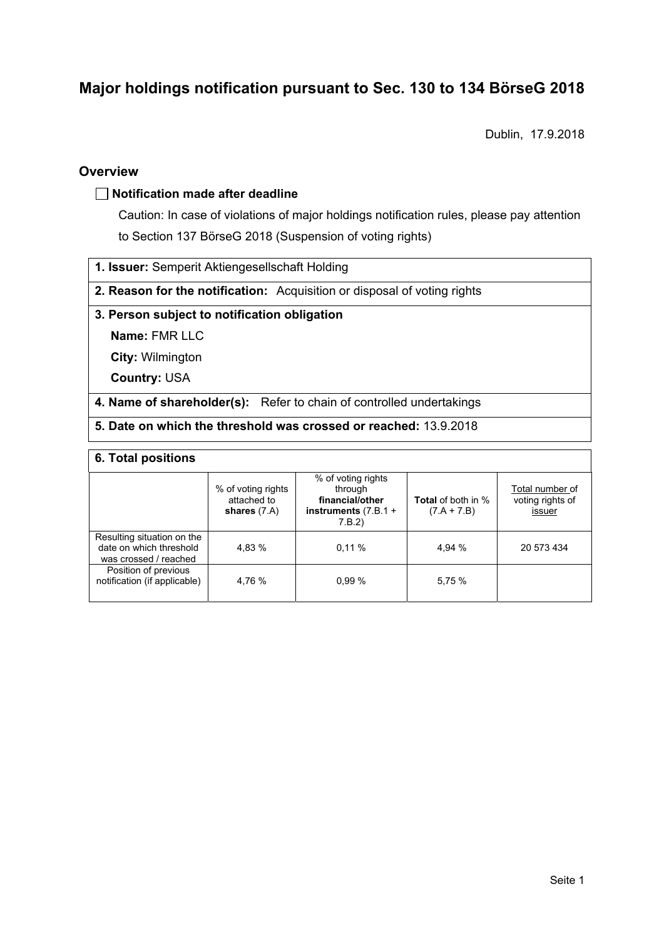# **Major holdings notification pursuant to Sec. 130 to 134 BörseG 2018**

Dublin, 17.9.2018

### **Overview**

### **Notification made after deadline**

Caution: In case of violations of major holdings notification rules, please pay attention to Section 137 BörseG 2018 (Suspension of voting rights)

**1. Issuer:** Semperit Aktiengesellschaft Holding

**2. Reason for the notification:** Acquisition or disposal of voting rights

### **3. Person subject to notification obligation**

**Name:** FMR LLC

**City:** Wilmington

**Country:** USA

**4. Name of shareholder(s):** Refer to chain of controlled undertakings

**5. Date on which the threshold was crossed or reached:** 13.9.2018

#### **6. Total positions**

|                                                                                | % of voting rights<br>attached to<br>shares $(7.A)$ | % of voting rights<br>through<br>financial/other<br>instruments $(7.B.1 +$<br>7.B.2 | <b>Total</b> of both in %<br>$(7.A + 7.B)$ | Total number of<br>voting rights of<br>issuer |  |  |
|--------------------------------------------------------------------------------|-----------------------------------------------------|-------------------------------------------------------------------------------------|--------------------------------------------|-----------------------------------------------|--|--|
| Resulting situation on the<br>date on which threshold<br>was crossed / reached | 4.83 %                                              | 0.11%                                                                               | 4.94 %                                     | 20 573 434                                    |  |  |
| Position of previous<br>notification (if applicable)                           | 4.76 %                                              | 0.99%                                                                               | 5,75 %                                     |                                               |  |  |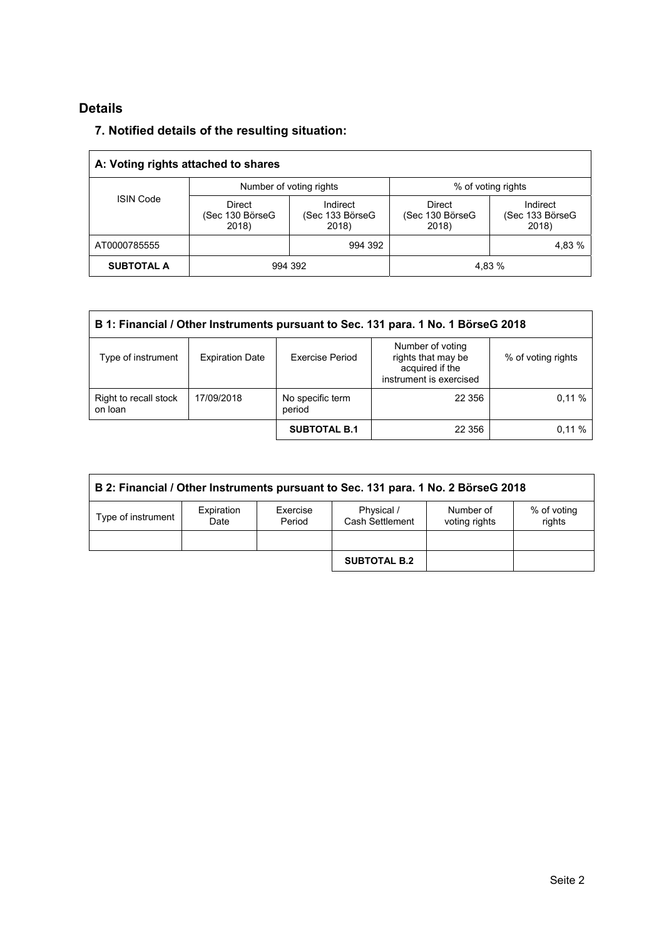# **Details**

## **7. Notified details of the resulting situation:**

| A: Voting rights attached to shares |                                           |                                      |                                           |                                      |  |  |
|-------------------------------------|-------------------------------------------|--------------------------------------|-------------------------------------------|--------------------------------------|--|--|
| <b>ISIN Code</b>                    |                                           | Number of voting rights              | % of voting rights                        |                                      |  |  |
|                                     | <b>Direct</b><br>(Sec 130 BörseG<br>2018) | Indirect<br>(Sec 133 BörseG<br>2018) | <b>Direct</b><br>(Sec 130 BörseG<br>2018) | Indirect<br>(Sec 133 BörseG<br>2018) |  |  |
| AT0000785555                        |                                           | 994 392                              |                                           | 4,83 %                               |  |  |
| <b>SUBTOTAL A</b>                   | 994 392                                   |                                      | 4.83 %                                    |                                      |  |  |

| B 1: Financial / Other Instruments pursuant to Sec. 131 para. 1 No. 1 BörseG 2018 |                                          |                        |                                                                                      |                    |  |
|-----------------------------------------------------------------------------------|------------------------------------------|------------------------|--------------------------------------------------------------------------------------|--------------------|--|
| Type of instrument                                                                | <b>Expiration Date</b>                   | <b>Exercise Period</b> | Number of voting<br>rights that may be<br>acquired if the<br>instrument is exercised | % of voting rights |  |
| Right to recall stock<br>on loan                                                  | No specific term<br>17/09/2018<br>period |                        | 22 356                                                                               | 0.11%              |  |
|                                                                                   |                                          | <b>SUBTOTAL B.1</b>    | 22 356                                                                               | 0.11%              |  |

| B 2: Financial / Other Instruments pursuant to Sec. 131 para. 1 No. 2 BörseG 2018 |                    |                    |                               |                            |                       |
|-----------------------------------------------------------------------------------|--------------------|--------------------|-------------------------------|----------------------------|-----------------------|
| Type of instrument                                                                | Expiration<br>Date | Exercise<br>Period | Physical /<br>Cash Settlement | Number of<br>voting rights | % of voting<br>rights |
|                                                                                   |                    |                    |                               |                            |                       |
|                                                                                   |                    |                    | <b>SUBTOTAL B.2</b>           |                            |                       |